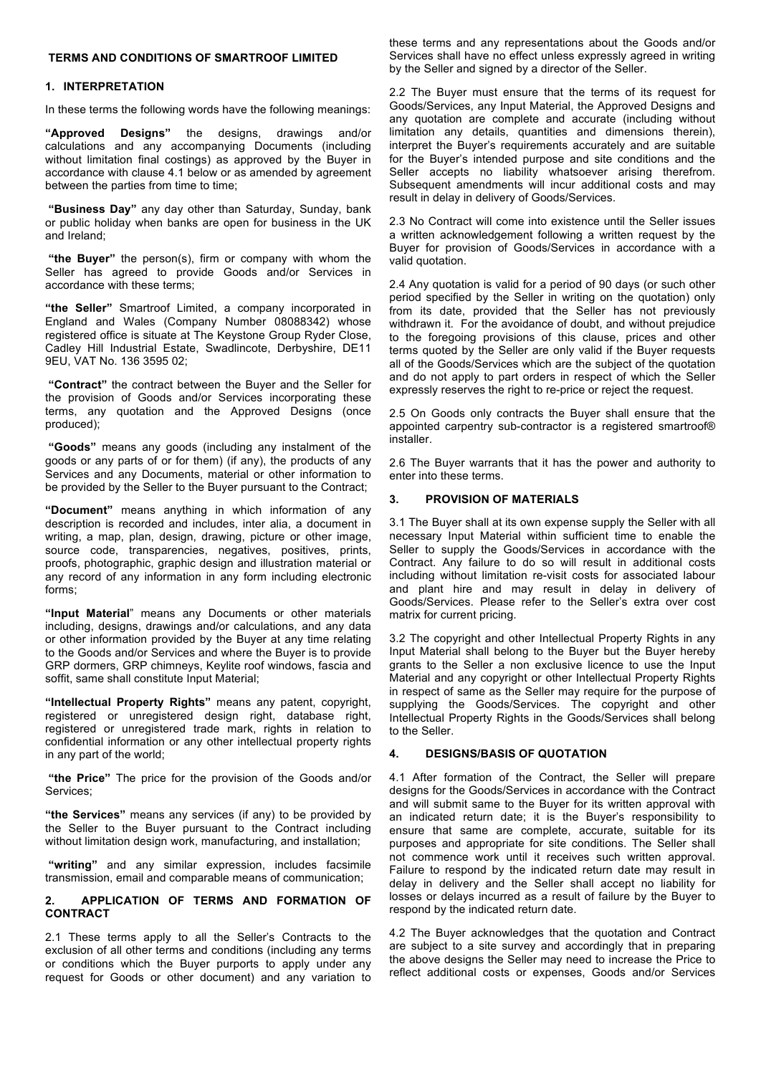## **TERMS AND CONDITIONS OF SMARTROOF LIMITED**

### **1. INTERPRETATION**

In these terms the following words have the following meanings:

**"Approved Designs"** the designs, drawings and/or calculations and any accompanying Documents (including without limitation final costings) as approved by the Buyer in accordance with clause 4.1 below or as amended by agreement between the parties from time to time;

**"Business Day"** any day other than Saturday, Sunday, bank or public holiday when banks are open for business in the UK and Ireland;

**"the Buyer"** the person(s), firm or company with whom the Seller has agreed to provide Goods and/or Services in accordance with these terms;

**"the Seller"** Smartroof Limited, a company incorporated in England and Wales (Company Number 08088342) whose registered office is situate at The Keystone Group Ryder Close, Cadley Hill Industrial Estate, Swadlincote, Derbyshire, DE11 9EU, VAT No. 136 3595 02;

**"Contract"** the contract between the Buyer and the Seller for the provision of Goods and/or Services incorporating these terms, any quotation and the Approved Designs (once produced);

**"Goods"** means any goods (including any instalment of the goods or any parts of or for them) (if any), the products of any Services and any Documents, material or other information to be provided by the Seller to the Buyer pursuant to the Contract;

**"Document"** means anything in which information of any description is recorded and includes, inter alia, a document in writing, a map, plan, design, drawing, picture or other image, source code, transparencies, negatives, positives, prints, proofs, photographic, graphic design and illustration material or any record of any information in any form including electronic forms;

**"Input Material**" means any Documents or other materials including, designs, drawings and/or calculations, and any data or other information provided by the Buyer at any time relating to the Goods and/or Services and where the Buyer is to provide GRP dormers, GRP chimneys, Keylite roof windows, fascia and soffit, same shall constitute Input Material;

**"Intellectual Property Rights"** means any patent, copyright, registered or unregistered design right, database right, registered or unregistered trade mark, rights in relation to confidential information or any other intellectual property rights in any part of the world;

**"the Price"** The price for the provision of the Goods and/or Services;

**"the Services"** means any services (if any) to be provided by the Seller to the Buyer pursuant to the Contract including without limitation design work, manufacturing, and installation;

**"writing"** and any similar expression, includes facsimile transmission, email and comparable means of communication;

### **2. APPLICATION OF TERMS AND FORMATION OF CONTRACT**

2.1 These terms apply to all the Seller's Contracts to the exclusion of all other terms and conditions (including any terms or conditions which the Buyer purports to apply under any request for Goods or other document) and any variation to

these terms and any representations about the Goods and/or Services shall have no effect unless expressly agreed in writing by the Seller and signed by a director of the Seller.

2.2 The Buyer must ensure that the terms of its request for Goods/Services, any Input Material, the Approved Designs and any quotation are complete and accurate (including without limitation any details, quantities and dimensions therein), interpret the Buyer's requirements accurately and are suitable for the Buyer's intended purpose and site conditions and the Seller accepts no liability whatsoever arising therefrom. Subsequent amendments will incur additional costs and may result in delay in delivery of Goods/Services.

2.3 No Contract will come into existence until the Seller issues a written acknowledgement following a written request by the Buyer for provision of Goods/Services in accordance with a valid quotation.

2.4 Any quotation is valid for a period of 90 days (or such other period specified by the Seller in writing on the quotation) only from its date, provided that the Seller has not previously withdrawn it. For the avoidance of doubt, and without prejudice to the foregoing provisions of this clause, prices and other terms quoted by the Seller are only valid if the Buyer requests all of the Goods/Services which are the subject of the quotation and do not apply to part orders in respect of which the Seller expressly reserves the right to re-price or reject the request.

2.5 On Goods only contracts the Buyer shall ensure that the appointed carpentry sub-contractor is a registered smartroof® installer.

2.6 The Buyer warrants that it has the power and authority to enter into these terms.

# **3. PROVISION OF MATERIALS**

3.1 The Buyer shall at its own expense supply the Seller with all necessary Input Material within sufficient time to enable the Seller to supply the Goods/Services in accordance with the Contract. Any failure to do so will result in additional costs including without limitation re-visit costs for associated labour and plant hire and may result in delay in delivery of Goods/Services. Please refer to the Seller's extra over cost matrix for current pricing.

3.2 The copyright and other Intellectual Property Rights in any Input Material shall belong to the Buyer but the Buyer hereby grants to the Seller a non exclusive licence to use the Input Material and any copyright or other Intellectual Property Rights in respect of same as the Seller may require for the purpose of supplying the Goods/Services. The copyright and other Intellectual Property Rights in the Goods/Services shall belong to the Seller.

# **4. DESIGNS/BASIS OF QUOTATION**

4.1 After formation of the Contract, the Seller will prepare designs for the Goods/Services in accordance with the Contract and will submit same to the Buyer for its written approval with an indicated return date; it is the Buyer's responsibility to ensure that same are complete, accurate, suitable for its purposes and appropriate for site conditions. The Seller shall not commence work until it receives such written approval. Failure to respond by the indicated return date may result in delay in delivery and the Seller shall accept no liability for losses or delays incurred as a result of failure by the Buyer to respond by the indicated return date.

4.2 The Buyer acknowledges that the quotation and Contract are subject to a site survey and accordingly that in preparing the above designs the Seller may need to increase the Price to reflect additional costs or expenses, Goods and/or Services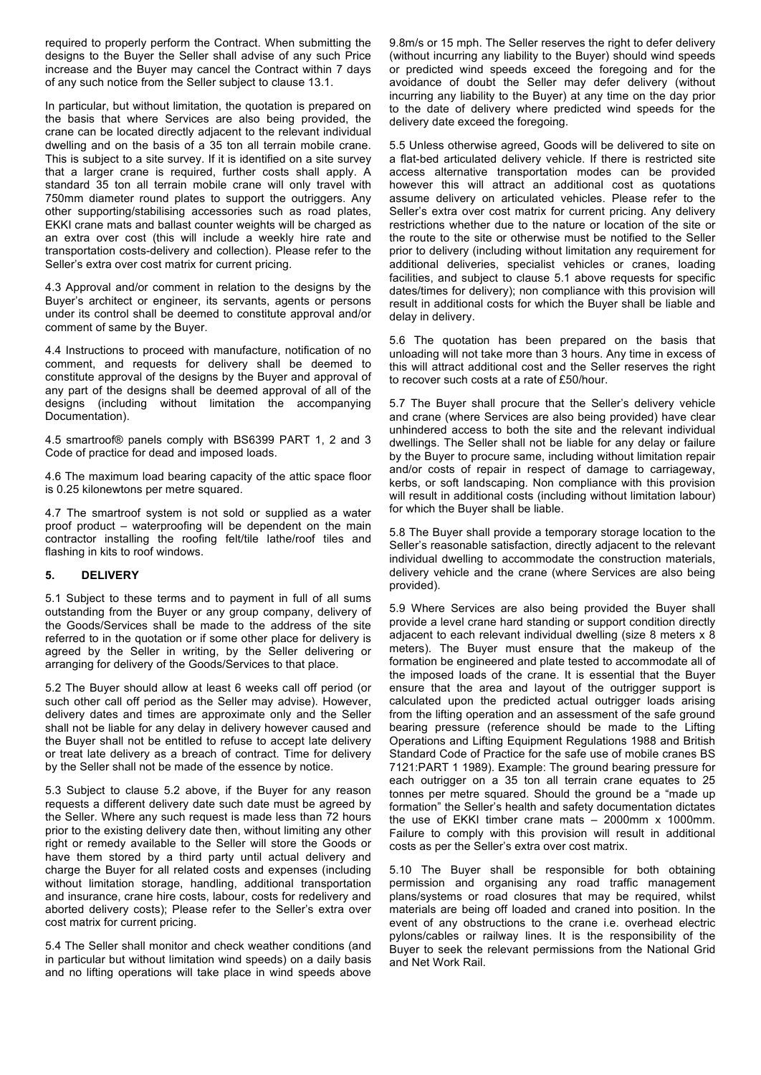required to properly perform the Contract. When submitting the designs to the Buyer the Seller shall advise of any such Price increase and the Buyer may cancel the Contract within 7 days of any such notice from the Seller subject to clause 13.1.

In particular, but without limitation, the quotation is prepared on the basis that where Services are also being provided, the crane can be located directly adjacent to the relevant individual dwelling and on the basis of a 35 ton all terrain mobile crane. This is subject to a site survey. If it is identified on a site survey that a larger crane is required, further costs shall apply. A standard 35 ton all terrain mobile crane will only travel with 750mm diameter round plates to support the outriggers. Any other supporting/stabilising accessories such as road plates, EKKI crane mats and ballast counter weights will be charged as an extra over cost (this will include a weekly hire rate and transportation costs-delivery and collection). Please refer to the Seller's extra over cost matrix for current pricing.

4.3 Approval and/or comment in relation to the designs by the Buyer's architect or engineer, its servants, agents or persons under its control shall be deemed to constitute approval and/or comment of same by the Buyer.

4.4 Instructions to proceed with manufacture, notification of no comment, and requests for delivery shall be deemed to constitute approval of the designs by the Buyer and approval of any part of the designs shall be deemed approval of all of the designs (including without limitation the accompanying Documentation).

4.5 smartroof® panels comply with BS6399 PART 1, 2 and 3 Code of practice for dead and imposed loads.

4.6 The maximum load bearing capacity of the attic space floor is 0.25 kilonewtons per metre squared.

4.7 The smartroof system is not sold or supplied as a water proof product – waterproofing will be dependent on the main contractor installing the roofing felt/tile lathe/roof tiles and flashing in kits to roof windows.

## **5. DELIVERY**

5.1 Subject to these terms and to payment in full of all sums outstanding from the Buyer or any group company, delivery of the Goods/Services shall be made to the address of the site referred to in the quotation or if some other place for delivery is agreed by the Seller in writing, by the Seller delivering or arranging for delivery of the Goods/Services to that place.

5.2 The Buyer should allow at least 6 weeks call off period (or such other call off period as the Seller may advise). However, delivery dates and times are approximate only and the Seller shall not be liable for any delay in delivery however caused and the Buyer shall not be entitled to refuse to accept late delivery or treat late delivery as a breach of contract. Time for delivery by the Seller shall not be made of the essence by notice.

5.3 Subject to clause 5.2 above, if the Buyer for any reason requests a different delivery date such date must be agreed by the Seller. Where any such request is made less than 72 hours prior to the existing delivery date then, without limiting any other right or remedy available to the Seller will store the Goods or have them stored by a third party until actual delivery and charge the Buyer for all related costs and expenses (including without limitation storage, handling, additional transportation and insurance, crane hire costs, labour, costs for redelivery and aborted delivery costs); Please refer to the Seller's extra over cost matrix for current pricing.

5.4 The Seller shall monitor and check weather conditions (and in particular but without limitation wind speeds) on a daily basis and no lifting operations will take place in wind speeds above

9.8m/s or 15 mph. The Seller reserves the right to defer delivery (without incurring any liability to the Buyer) should wind speeds or predicted wind speeds exceed the foregoing and for the avoidance of doubt the Seller may defer delivery (without incurring any liability to the Buyer) at any time on the day prior to the date of delivery where predicted wind speeds for the delivery date exceed the foregoing.

5.5 Unless otherwise agreed, Goods will be delivered to site on a flat-bed articulated delivery vehicle. If there is restricted site access alternative transportation modes can be provided however this will attract an additional cost as quotations assume delivery on articulated vehicles. Please refer to the Seller's extra over cost matrix for current pricing. Any delivery restrictions whether due to the nature or location of the site or the route to the site or otherwise must be notified to the Seller prior to delivery (including without limitation any requirement for additional deliveries, specialist vehicles or cranes, loading facilities, and subject to clause 5.1 above requests for specific dates/times for delivery); non compliance with this provision will result in additional costs for which the Buyer shall be liable and delay in delivery.

5.6 The quotation has been prepared on the basis that unloading will not take more than 3 hours. Any time in excess of this will attract additional cost and the Seller reserves the right to recover such costs at a rate of £50/hour.

5.7 The Buyer shall procure that the Seller's delivery vehicle and crane (where Services are also being provided) have clear unhindered access to both the site and the relevant individual dwellings. The Seller shall not be liable for any delay or failure by the Buyer to procure same, including without limitation repair and/or costs of repair in respect of damage to carriageway, kerbs, or soft landscaping. Non compliance with this provision will result in additional costs (including without limitation labour) for which the Buyer shall be liable.

5.8 The Buyer shall provide a temporary storage location to the Seller's reasonable satisfaction, directly adjacent to the relevant individual dwelling to accommodate the construction materials, delivery vehicle and the crane (where Services are also being provided).

5.9 Where Services are also being provided the Buyer shall provide a level crane hard standing or support condition directly adjacent to each relevant individual dwelling (size 8 meters x 8 meters). The Buyer must ensure that the makeup of the formation be engineered and plate tested to accommodate all of the imposed loads of the crane. It is essential that the Buyer ensure that the area and layout of the outrigger support is calculated upon the predicted actual outrigger loads arising from the lifting operation and an assessment of the safe ground bearing pressure (reference should be made to the Lifting Operations and Lifting Equipment Regulations 1988 and British Standard Code of Practice for the safe use of mobile cranes BS 7121:PART 1 1989). Example: The ground bearing pressure for each outrigger on a 35 ton all terrain crane equates to 25 tonnes per metre squared. Should the ground be a "made up formation" the Seller's health and safety documentation dictates the use of EKKI timber crane mats – 2000mm x 1000mm. Failure to comply with this provision will result in additional costs as per the Seller's extra over cost matrix.

5.10 The Buyer shall be responsible for both obtaining permission and organising any road traffic management plans/systems or road closures that may be required, whilst materials are being off loaded and craned into position. In the event of any obstructions to the crane i.e. overhead electric pylons/cables or railway lines. It is the responsibility of the Buyer to seek the relevant permissions from the National Grid and Net Work Rail.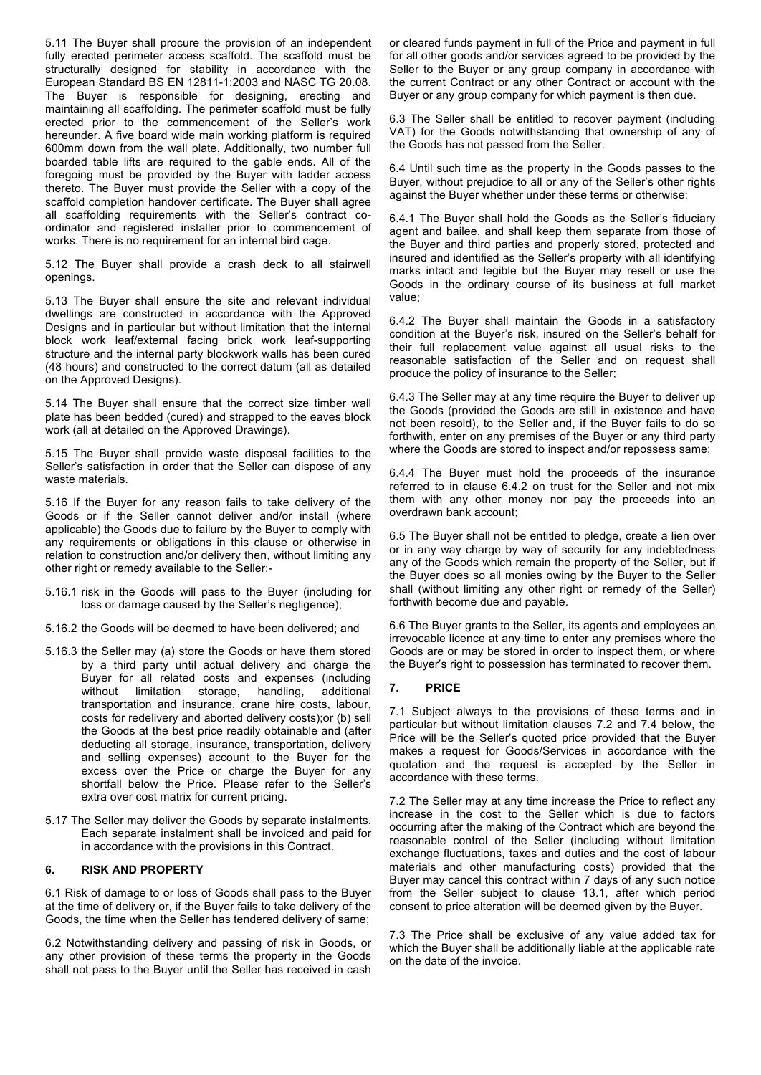5.11 The Buyer shall procure the provision of an independent fully erected perimeter access scaffold. The scaffold must be structurally designed for stability in accordance with the European Standard BS EN 12811-1:2003 and NASC TG 20.08. The Buyer is responsible for designing, erecting and maintaining all scaffolding. The perimeter scaffold must be fully erected prior to the commencement of the Seller's work hereunder. A five board wide main working platform is required 600mm down from the wall plate. Additionally, two number full boarded table lifts are required to the gable ends. All of the foregoing must be provided by the Buyer with ladder access thereto. The Buyer must provide the Seller with a copy of the scaffold completion handover certificate. The Buyer shall agree all scaffolding requirements with the Seller's contract coordinator and registered installer prior to commencement of works. There is no requirement for an internal bird cage.

5.12 The Buyer shall provide a crash deck to all stairwell openings.

5.13 The Buyer shall ensure the site and relevant individual dwellings are constructed in accordance with the Approved Designs and in particular but without limitation that the internal block work leaf/external facing brick work leaf-supporting structure and the internal party blockwork walls has been cured (48 hours) and constructed to the correct datum (all as detailed on the Approved Designs).

5.14 The Buyer shall ensure that the correct size timber wall plate has been bedded (cured) and strapped to the eaves block work (all at detailed on the Approved Drawings).

5.15 The Buyer shall provide waste disposal facilities to the Seller's satisfaction in order that the Seller can dispose of any waste materials.

5.16 If the Buyer for any reason fails to take delivery of the Goods or if the Seller cannot deliver and/or install (where applicable) the Goods due to failure by the Buyer to comply with any requirements or obligations in this clause or otherwise in relation to construction and/or delivery then, without limiting any other right or remedy available to the Seller:-

- 5.16.1 risk in the Goods will pass to the Buyer (including for loss or damage caused by the Seller's negligence);
- 5.16.2 the Goods will be deemed to have been delivered; and
- 5.16.3 the Seller may (a) store the Goods or have them stored by a third party until actual delivery and charge the Buyer for all related costs and expenses (including without limitation storage, handling, additional transportation and insurance, crane hire costs, labour, costs for redelivery and aborted delivery costs);or (b) sell the Goods at the best price readily obtainable and (after deducting all storage, insurance, transportation, delivery and selling expenses) account to the Buyer for the excess over the Price or charge the Buyer for any shortfall below the Price. Please refer to the Seller's extra over cost matrix for current pricing.
- 5.17 The Seller may deliver the Goods by separate instalments. Each separate instalment shall be invoiced and paid for in accordance with the provisions in this Contract.

## **6. RISK AND PROPERTY**

6.1 Risk of damage to or loss of Goods shall pass to the Buyer at the time of delivery or, if the Buyer fails to take delivery of the Goods, the time when the Seller has tendered delivery of same;

6.2 Notwithstanding delivery and passing of risk in Goods, or any other provision of these terms the property in the Goods shall not pass to the Buyer until the Seller has received in cash

or cleared funds payment in full of the Price and payment in full for all other goods and/or services agreed to be provided by the Seller to the Buyer or any group company in accordance with the current Contract or any other Contract or account with the Buyer or any group company for which payment is then due.

6.3 The Seller shall be entitled to recover payment (including VAT) for the Goods notwithstanding that ownership of any of the Goods has not passed from the Seller.

6.4 Until such time as the property in the Goods passes to the Buyer, without prejudice to all or any of the Seller's other rights against the Buyer whether under these terms or otherwise:

6.4.1 The Buyer shall hold the Goods as the Seller's fiduciary agent and bailee, and shall keep them separate from those of the Buyer and third parties and properly stored, protected and insured and identified as the Seller's property with all identifying marks intact and legible but the Buyer may resell or use the Goods in the ordinary course of its business at full market value;

6.4.2 The Buyer shall maintain the Goods in a satisfactory condition at the Buyer's risk, insured on the Seller's behalf for their full replacement value against all usual risks to the reasonable satisfaction of the Seller and on request shall produce the policy of insurance to the Seller;

6.4.3 The Seller may at any time require the Buyer to deliver up the Goods (provided the Goods are still in existence and have not been resold), to the Seller and, if the Buyer fails to do so forthwith, enter on any premises of the Buyer or any third party where the Goods are stored to inspect and/or repossess same;

6.4.4 The Buyer must hold the proceeds of the insurance referred to in clause 6.4.2 on trust for the Seller and not mix them with any other money nor pay the proceeds into an overdrawn bank account;

6.5 The Buyer shall not be entitled to pledge, create a lien over or in any way charge by way of security for any indebtedness any of the Goods which remain the property of the Seller, but if the Buyer does so all monies owing by the Buyer to the Seller shall (without limiting any other right or remedy of the Seller) forthwith become due and payable.

6.6 The Buyer grants to the Seller, its agents and employees an irrevocable licence at any time to enter any premises where the Goods are or may be stored in order to inspect them, or where the Buyer's right to possession has terminated to recover them.

### **7. PRICE**

7.1 Subject always to the provisions of these terms and in particular but without limitation clauses 7.2 and 7.4 below, the Price will be the Seller's quoted price provided that the Buyer makes a request for Goods/Services in accordance with the quotation and the request is accepted by the Seller in accordance with these terms.

7.2 The Seller may at any time increase the Price to reflect any increase in the cost to the Seller which is due to factors occurring after the making of the Contract which are beyond the reasonable control of the Seller (including without limitation exchange fluctuations, taxes and duties and the cost of labour materials and other manufacturing costs) provided that the Buyer may cancel this contract within 7 days of any such notice from the Seller subject to clause 13.1, after which period consent to price alteration will be deemed given by the Buyer.

7.3 The Price shall be exclusive of any value added tax for which the Buyer shall be additionally liable at the applicable rate on the date of the invoice.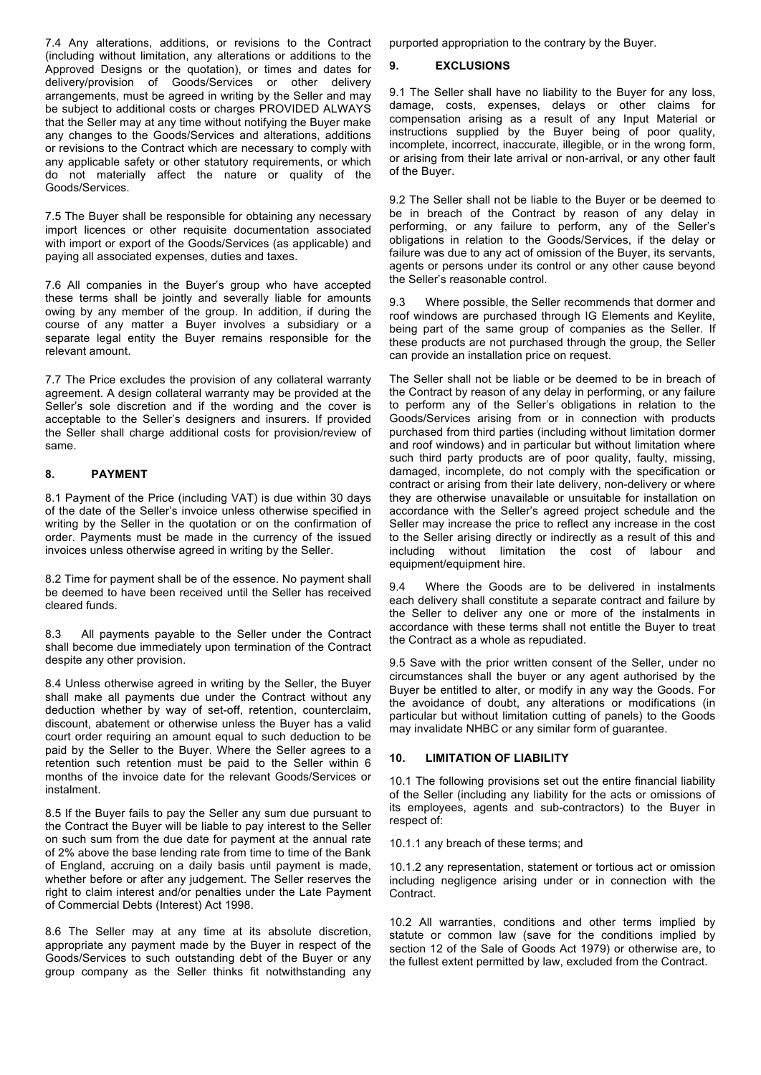7.4 Any alterations, additions, or revisions to the Contract (including without limitation, any alterations or additions to the Approved Designs or the quotation), or times and dates for delivery/provision of Goods/Services or other delivery arrangements, must be agreed in writing by the Seller and may be subject to additional costs or charges PROVIDED ALWAYS that the Seller may at any time without notifying the Buyer make any changes to the Goods/Services and alterations, additions or revisions to the Contract which are necessary to comply with any applicable safety or other statutory requirements, or which do not materially affect the nature or quality of the Goods/Services.

7.5 The Buyer shall be responsible for obtaining any necessary import licences or other requisite documentation associated with import or export of the Goods/Services (as applicable) and paying all associated expenses, duties and taxes.

7.6 All companies in the Buyer's group who have accepted these terms shall be jointly and severally liable for amounts owing by any member of the group. In addition, if during the course of any matter a Buyer involves a subsidiary or a separate legal entity the Buyer remains responsible for the relevant amount.

7.7 The Price excludes the provision of any collateral warranty agreement. A design collateral warranty may be provided at the Seller's sole discretion and if the wording and the cover is acceptable to the Seller's designers and insurers. If provided the Seller shall charge additional costs for provision/review of same.

# **8. PAYMENT**

8.1 Payment of the Price (including VAT) is due within 30 days of the date of the Seller's invoice unless otherwise specified in writing by the Seller in the quotation or on the confirmation of order. Payments must be made in the currency of the issued invoices unless otherwise agreed in writing by the Seller.

8.2 Time for payment shall be of the essence. No payment shall be deemed to have been received until the Seller has received cleared funds.

8.3 All payments payable to the Seller under the Contract shall become due immediately upon termination of the Contract despite any other provision.

8.4 Unless otherwise agreed in writing by the Seller, the Buyer shall make all payments due under the Contract without any deduction whether by way of set-off, retention, counterclaim, discount, abatement or otherwise unless the Buyer has a valid court order requiring an amount equal to such deduction to be paid by the Seller to the Buyer. Where the Seller agrees to a retention such retention must be paid to the Seller within 6 months of the invoice date for the relevant Goods/Services or instalment.

8.5 If the Buyer fails to pay the Seller any sum due pursuant to the Contract the Buyer will be liable to pay interest to the Seller on such sum from the due date for payment at the annual rate of 2% above the base lending rate from time to time of the Bank of England, accruing on a daily basis until payment is made, whether before or after any judgement. The Seller reserves the right to claim interest and/or penalties under the Late Payment of Commercial Debts (Interest) Act 1998.

8.6 The Seller may at any time at its absolute discretion, appropriate any payment made by the Buyer in respect of the Goods/Services to such outstanding debt of the Buyer or any group company as the Seller thinks fit notwithstanding any

purported appropriation to the contrary by the Buyer.

# **9. EXCLUSIONS**

9.1 The Seller shall have no liability to the Buyer for any loss, damage, costs, expenses, delays or other claims for compensation arising as a result of any Input Material or instructions supplied by the Buyer being of poor quality, incomplete, incorrect, inaccurate, illegible, or in the wrong form, or arising from their late arrival or non-arrival, or any other fault of the Buyer.

9.2 The Seller shall not be liable to the Buyer or be deemed to be in breach of the Contract by reason of any delay in performing, or any failure to perform, any of the Seller's obligations in relation to the Goods/Services, if the delay or failure was due to any act of omission of the Buyer, its servants, agents or persons under its control or any other cause beyond the Seller's reasonable control.

9.3 Where possible, the Seller recommends that dormer and roof windows are purchased through IG Elements and Keylite, being part of the same group of companies as the Seller. If these products are not purchased through the group, the Seller can provide an installation price on request.

The Seller shall not be liable or be deemed to be in breach of the Contract by reason of any delay in performing, or any failure to perform any of the Seller's obligations in relation to the Goods/Services arising from or in connection with products purchased from third parties (including without limitation dormer and roof windows) and in particular but without limitation where such third party products are of poor quality, faulty, missing, damaged, incomplete, do not comply with the specification or contract or arising from their late delivery, non-delivery or where they are otherwise unavailable or unsuitable for installation on accordance with the Seller's agreed project schedule and the Seller may increase the price to reflect any increase in the cost to the Seller arising directly or indirectly as a result of this and including without limitation the cost of labour and equipment/equipment hire.

9.4 Where the Goods are to be delivered in instalments each delivery shall constitute a separate contract and failure by the Seller to deliver any one or more of the instalments in accordance with these terms shall not entitle the Buyer to treat the Contract as a whole as repudiated.

9.5 Save with the prior written consent of the Seller, under no circumstances shall the buyer or any agent authorised by the Buyer be entitled to alter, or modify in any way the Goods. For the avoidance of doubt, any alterations or modifications (in particular but without limitation cutting of panels) to the Goods may invalidate NHBC or any similar form of guarantee.

# **10. LIMITATION OF LIABILITY**

10.1 The following provisions set out the entire financial liability of the Seller (including any liability for the acts or omissions of its employees, agents and sub-contractors) to the Buyer in respect of:

### 10.1.1 any breach of these terms; and

10.1.2 any representation, statement or tortious act or omission including negligence arising under or in connection with the Contract.

10.2 All warranties, conditions and other terms implied by statute or common law (save for the conditions implied by section 12 of the Sale of Goods Act 1979) or otherwise are, to the fullest extent permitted by law, excluded from the Contract.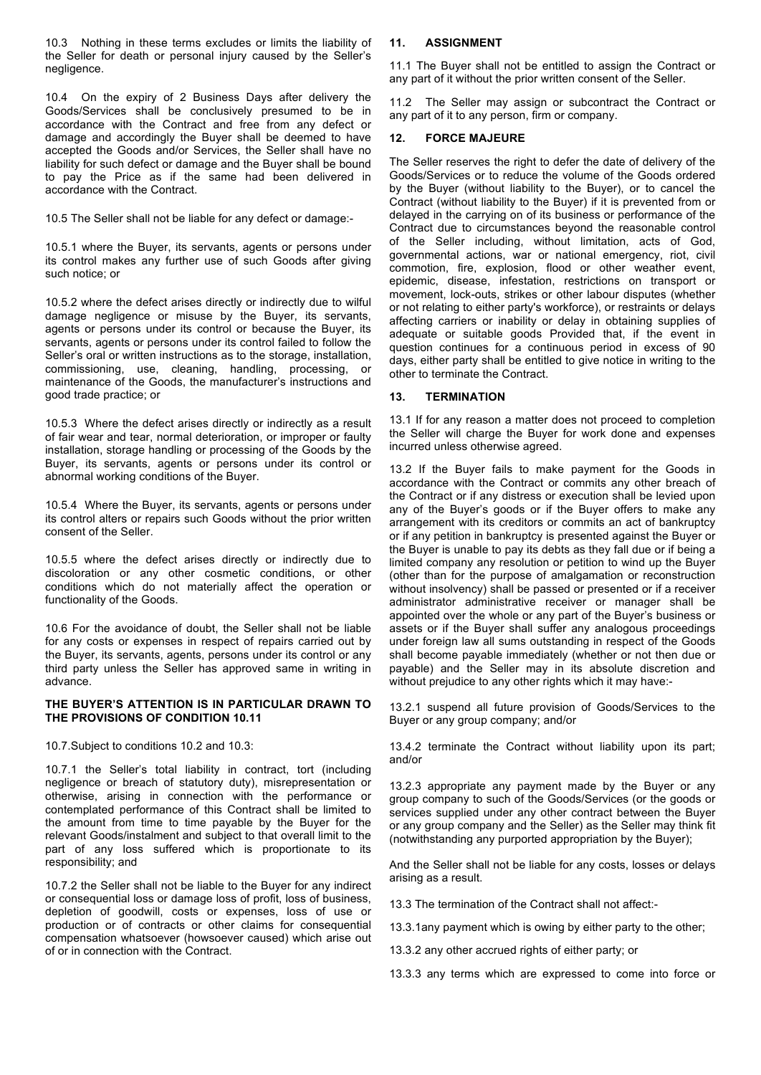10.3 Nothing in these terms excludes or limits the liability of the Seller for death or personal injury caused by the Seller's negligence.

10.4 On the expiry of 2 Business Days after delivery the Goods/Services shall be conclusively presumed to be in accordance with the Contract and free from any defect or damage and accordingly the Buyer shall be deemed to have accepted the Goods and/or Services, the Seller shall have no liability for such defect or damage and the Buyer shall be bound to pay the Price as if the same had been delivered in accordance with the Contract.

10.5 The Seller shall not be liable for any defect or damage:-

10.5.1 where the Buyer, its servants, agents or persons under its control makes any further use of such Goods after giving such notice; or

10.5.2 where the defect arises directly or indirectly due to wilful damage negligence or misuse by the Buyer, its servants, agents or persons under its control or because the Buyer, its servants, agents or persons under its control failed to follow the Seller's oral or written instructions as to the storage, installation, commissioning, use, cleaning, handling, processing, or maintenance of the Goods, the manufacturer's instructions and good trade practice; or

10.5.3 Where the defect arises directly or indirectly as a result of fair wear and tear, normal deterioration, or improper or faulty installation, storage handling or processing of the Goods by the Buyer, its servants, agents or persons under its control or abnormal working conditions of the Buyer.

10.5.4 Where the Buyer, its servants, agents or persons under its control alters or repairs such Goods without the prior written consent of the Seller.

10.5.5 where the defect arises directly or indirectly due to discoloration or any other cosmetic conditions, or other conditions which do not materially affect the operation or functionality of the Goods.

10.6 For the avoidance of doubt, the Seller shall not be liable for any costs or expenses in respect of repairs carried out by the Buyer, its servants, agents, persons under its control or any third party unless the Seller has approved same in writing in advance.

## **THE BUYER'S ATTENTION IS IN PARTICULAR DRAWN TO THE PROVISIONS OF CONDITION 10.11**

10.7.Subject to conditions 10.2 and 10.3:

10.7.1 the Seller's total liability in contract, tort (including negligence or breach of statutory duty), misrepresentation or otherwise, arising in connection with the performance or contemplated performance of this Contract shall be limited to the amount from time to time payable by the Buyer for the relevant Goods/instalment and subject to that overall limit to the part of any loss suffered which is proportionate to its responsibility; and

10.7.2 the Seller shall not be liable to the Buyer for any indirect or consequential loss or damage loss of profit, loss of business, depletion of goodwill, costs or expenses, loss of use or production or of contracts or other claims for consequential compensation whatsoever (howsoever caused) which arise out of or in connection with the Contract.

## **11. ASSIGNMENT**

11.1 The Buyer shall not be entitled to assign the Contract or any part of it without the prior written consent of the Seller.

11.2 The Seller may assign or subcontract the Contract or any part of it to any person, firm or company.

## **12. FORCE MAJEURE**

The Seller reserves the right to defer the date of delivery of the Goods/Services or to reduce the volume of the Goods ordered by the Buyer (without liability to the Buyer), or to cancel the Contract (without liability to the Buyer) if it is prevented from or delayed in the carrying on of its business or performance of the Contract due to circumstances beyond the reasonable control of the Seller including, without limitation, acts of God, governmental actions, war or national emergency, riot, civil commotion, fire, explosion, flood or other weather event, epidemic, disease, infestation, restrictions on transport or movement, lock-outs, strikes or other labour disputes (whether or not relating to either party's workforce), or restraints or delays affecting carriers or inability or delay in obtaining supplies of adequate or suitable goods Provided that, if the event in question continues for a continuous period in excess of 90 days, either party shall be entitled to give notice in writing to the other to terminate the Contract.

# **13. TERMINATION**

13.1 If for any reason a matter does not proceed to completion the Seller will charge the Buyer for work done and expenses incurred unless otherwise agreed.

13.2 If the Buyer fails to make payment for the Goods in accordance with the Contract or commits any other breach of the Contract or if any distress or execution shall be levied upon any of the Buyer's goods or if the Buyer offers to make any arrangement with its creditors or commits an act of bankruptcy or if any petition in bankruptcy is presented against the Buyer or the Buyer is unable to pay its debts as they fall due or if being a limited company any resolution or petition to wind up the Buyer (other than for the purpose of amalgamation or reconstruction without insolvency) shall be passed or presented or if a receiver administrator administrative receiver or manager shall be appointed over the whole or any part of the Buyer's business or assets or if the Buyer shall suffer any analogous proceedings under foreign law all sums outstanding in respect of the Goods shall become payable immediately (whether or not then due or payable) and the Seller may in its absolute discretion and without prejudice to any other rights which it may have:-

13.2.1 suspend all future provision of Goods/Services to the Buyer or any group company; and/or

13.4.2 terminate the Contract without liability upon its part; and/or

13.2.3 appropriate any payment made by the Buyer or any group company to such of the Goods/Services (or the goods or services supplied under any other contract between the Buyer or any group company and the Seller) as the Seller may think fit (notwithstanding any purported appropriation by the Buyer);

And the Seller shall not be liable for any costs, losses or delays arising as a result.

13.3 The termination of the Contract shall not affect:-

13.3.1any payment which is owing by either party to the other;

13.3.2 any other accrued rights of either party; or

13.3.3 any terms which are expressed to come into force or